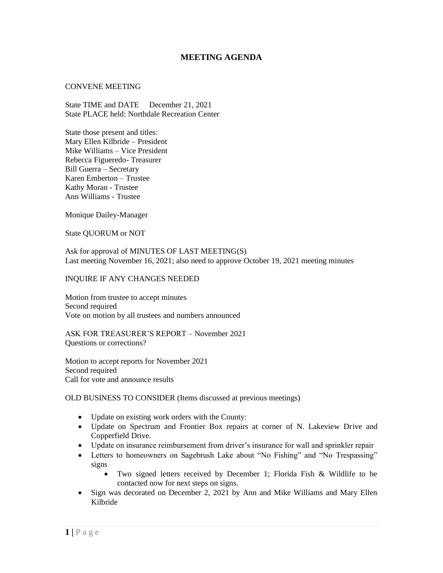## **MEETING AGENDA**

## CONVENE MEETING

State TIME and DATE December 21, 2021 State PLACE held: Northdale Recreation Center

State those present and titles: Mary Ellen Kilbride – President Mike Williams – Vice President Rebecca Figueredo- Treasurer Bill Guerra – Secretary Karen Emberton – Trustee Kathy Moran - Trustee Ann Williams - Trustee

Monique Dailey-Manager

State QUORUM or NOT

Ask for approval of MINUTES OF LAST MEETING(S) Last meeting November 16, 2021; also need to approve October 19, 2021 meeting minutes

## INQUIRE IF ANY CHANGES NEEDED

Motion from trustee to accept minutes Second required Vote on motion by all trustees and numbers announced

ASK FOR TREASURER'S REPORT – November 2021 Questions or corrections?

Motion to accept reports for November 2021 Second required Call for vote and announce results

OLD BUSINESS TO CONSIDER (Items discussed at previous meetings)

- Update on existing work orders with the County:
- Update on Spectrum and Frontier Box repairs at corner of N. Lakeview Drive and Copperfield Drive.
- Update on insurance reimbursement from driver's insurance for wall and sprinkler repair
- Letters to homeowners on Sagebrush Lake about "No Fishing" and "No Trespassing" signs
	- Two signed letters received by December 1; Florida Fish & Wildlife to be contacted now for next steps on signs.
- Sign was decorated on December 2, 2021 by Ann and Mike Williams and Mary Ellen Kilbride